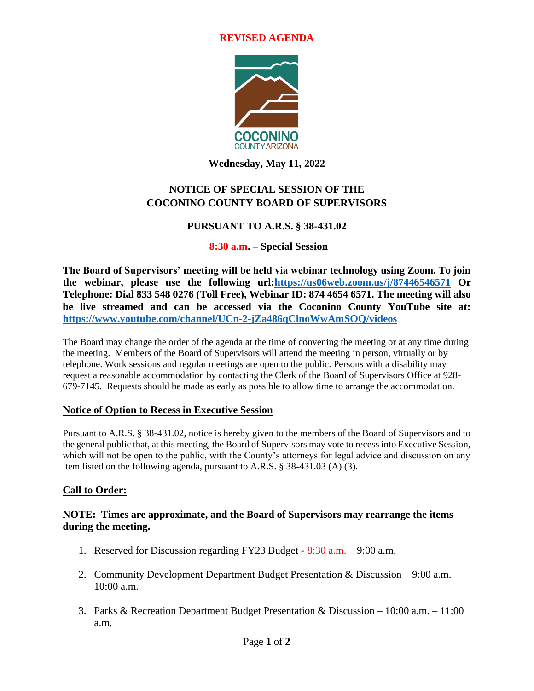#### **REVISED AGENDA**



**Wednesday, May 11, 2022**

# **NOTICE OF SPECIAL SESSION OF THE COCONINO COUNTY BOARD OF SUPERVISORS**

# **PURSUANT TO A.R.S. § 38-431.02**

# **8:30 a.m. – Special Session**

**The Board of Supervisors' meeting will be held via webinar technology using Zoom. To join the webinar, please use the following url[:https://us06web.zoom.us/j/87446546571](https://us06web.zoom.us/j/87446546571) Or Telephone: Dial 833 548 0276 (Toll Free), Webinar ID: 874 4654 6571. The meeting will also be live streamed and can be accessed via the Coconino County YouTube site at: <https://www.youtube.com/channel/UCn-2-jZa486qClnoWwAmSOQ/videos>**

The Board may change the order of the agenda at the time of convening the meeting or at any time during the meeting. Members of the Board of Supervisors will attend the meeting in person, virtually or by telephone. Work sessions and regular meetings are open to the public. Persons with a disability may request a reasonable accommodation by contacting the Clerk of the Board of Supervisors Office at 928- 679-7145. Requests should be made as early as possible to allow time to arrange the accommodation.

# **Notice of Option to Recess in Executive Session**

Pursuant to A.R.S. § 38-431.02, notice is hereby given to the members of the Board of Supervisors and to the general public that, at this meeting, the Board of Supervisors may vote to recess into Executive Session, which will not be open to the public, with the County's attorneys for legal advice and discussion on any item listed on the following agenda, pursuant to A.R.S. § 38-431.03 (A) (3).

# **Call to Order:**

#### **NOTE: Times are approximate, and the Board of Supervisors may rearrange the items during the meeting.**

- 1. Reserved for Discussion regarding FY23 Budget 8:30 a.m. 9:00 a.m.
- 2. Community Development Department Budget Presentation & Discussion 9:00 a.m. 10:00 a.m.
- 3. Parks & Recreation Department Budget Presentation & Discussion 10:00 a.m. 11:00 a.m.